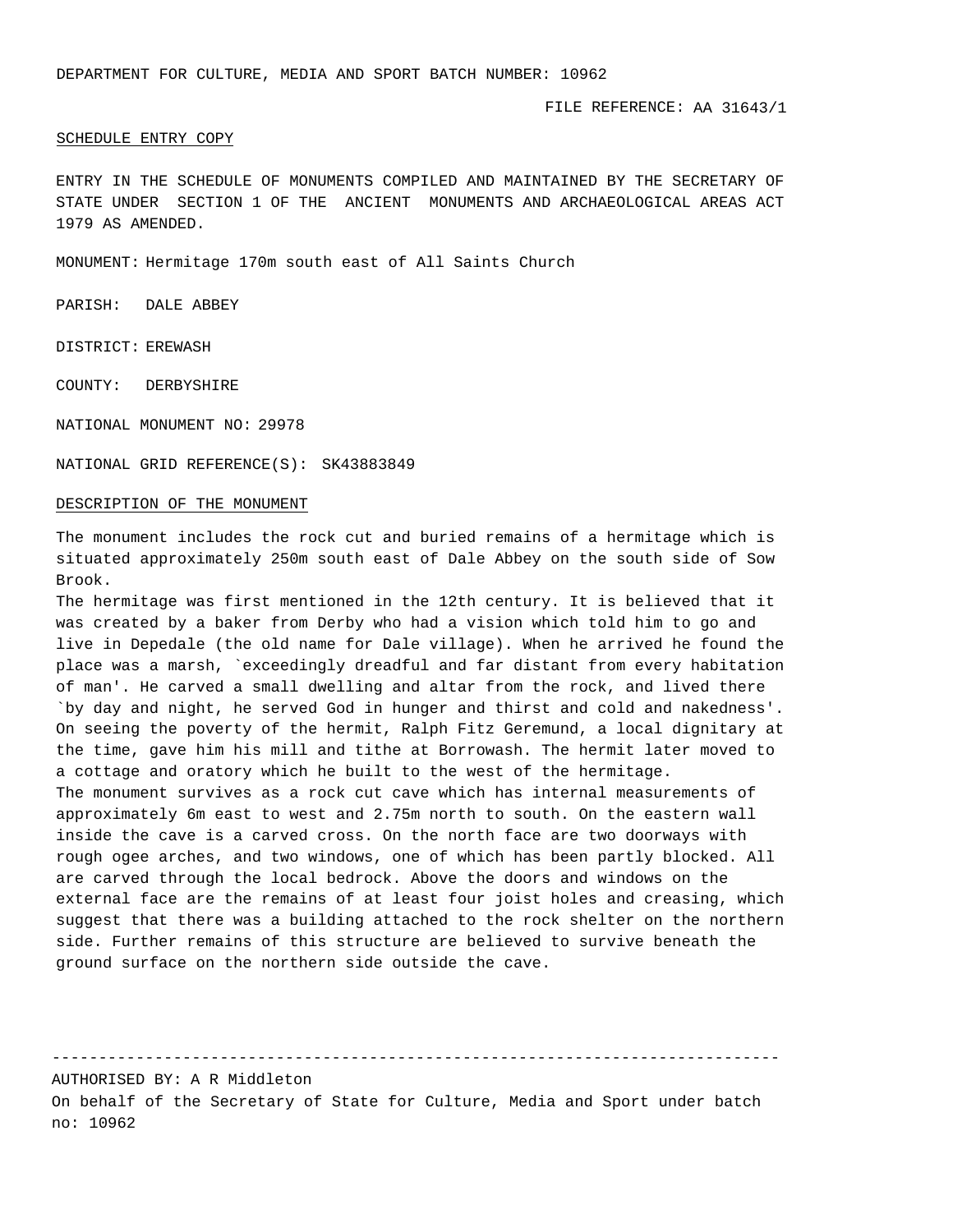DEPARTMENT FOR CULTURE, MEDIA AND SPORT BATCH NUMBER: 10962

FILE REFERENCE: AA 31643/1

### SCHEDULE ENTRY COPY

ENTRY IN THE SCHEDULE OF MONUMENTS COMPILED AND MAINTAINED BY THE SECRETARY OF STATE UNDER SECTION 1 OF THE ANCIENT MONUMENTS AND ARCHAEOLOGICAL AREAS ACT 1979 AS AMENDED.

MONUMENT: Hermitage 170m south east of All Saints Church

PARISH: DALE ABBEY

DISTRICT: EREWASH

COUNTY: DERBYSHIRE

NATIONAL MONUMENT NO: 29978

NATIONAL GRID REFERENCE(S): SK43883849

### DESCRIPTION OF THE MONUMENT

The monument includes the rock cut and buried remains of a hermitage which is situated approximately 250m south east of Dale Abbey on the south side of Sow Brook.

The hermitage was first mentioned in the 12th century. It is believed that it was created by a baker from Derby who had a vision which told him to go and live in Depedale (the old name for Dale village). When he arrived he found the place was a marsh, `exceedingly dreadful and far distant from every habitation of man'. He carved a small dwelling and altar from the rock, and lived there `by day and night, he served God in hunger and thirst and cold and nakedness'. On seeing the poverty of the hermit, Ralph Fitz Geremund, a local dignitary at the time, gave him his mill and tithe at Borrowash. The hermit later moved to a cottage and oratory which he built to the west of the hermitage. The monument survives as a rock cut cave which has internal measurements of approximately 6m east to west and 2.75m north to south. On the eastern wall inside the cave is a carved cross. On the north face are two doorways with rough ogee arches, and two windows, one of which has been partly blocked. All are carved through the local bedrock. Above the doors and windows on the external face are the remains of at least four joist holes and creasing, which suggest that there was a building attached to the rock shelter on the northern side. Further remains of this structure are believed to survive beneath the ground surface on the northern side outside the cave.

------------------------------------------------------------------------------

AUTHORISED BY: A R Middleton On behalf of the Secretary of State for Culture, Media and Sport under batch no: 10962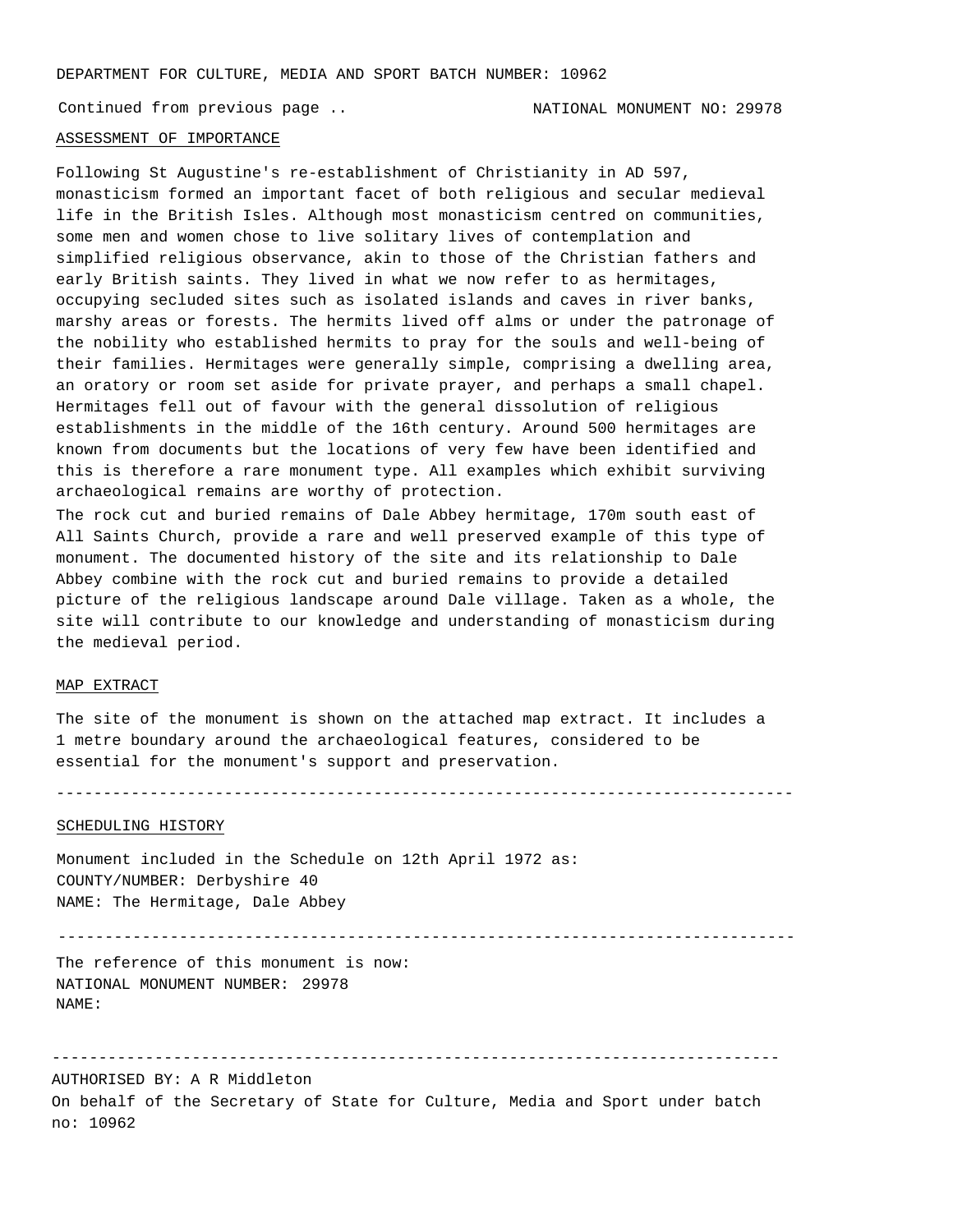DEPARTMENT FOR CULTURE, MEDIA AND SPORT BATCH NUMBER: 10962

Continued from previous page .. NATIONAL MONUMENT NO: 29978

## ASSESSMENT OF IMPORTANCE

Following St Augustine's re-establishment of Christianity in AD 597, monasticism formed an important facet of both religious and secular medieval life in the British Isles. Although most monasticism centred on communities, some men and women chose to live solitary lives of contemplation and simplified religious observance, akin to those of the Christian fathers and early British saints. They lived in what we now refer to as hermitages, occupying secluded sites such as isolated islands and caves in river banks, marshy areas or forests. The hermits lived off alms or under the patronage of the nobility who established hermits to pray for the souls and well-being of their families. Hermitages were generally simple, comprising a dwelling area, an oratory or room set aside for private prayer, and perhaps a small chapel. Hermitages fell out of favour with the general dissolution of religious establishments in the middle of the 16th century. Around 500 hermitages are known from documents but the locations of very few have been identified and this is therefore a rare monument type. All examples which exhibit surviving archaeological remains are worthy of protection.

The rock cut and buried remains of Dale Abbey hermitage, 170m south east of All Saints Church, provide a rare and well preserved example of this type of monument. The documented history of the site and its relationship to Dale Abbey combine with the rock cut and buried remains to provide a detailed picture of the religious landscape around Dale village. Taken as a whole, the site will contribute to our knowledge and understanding of monasticism during the medieval period.

# MAP EXTRACT

The site of the monument is shown on the attached map extract. It includes a 1 metre boundary around the archaeological features, considered to be essential for the monument's support and preservation.

-------------------------------------------------------------------------------

### SCHEDULING HISTORY

Monument included in the Schedule on 12th April 1972 as: COUNTY/NUMBER: Derbyshire 40 NAME: The Hermitage, Dale Abbey

-------------------------------------------------------------------------------

The reference of this monument is now: NATIONAL MONUMENT NUMBER: 29978 NAME:

------------------------------------------------------------------------------

AUTHORISED BY: A R Middleton On behalf of the Secretary of State for Culture, Media and Sport under batch no: 10962